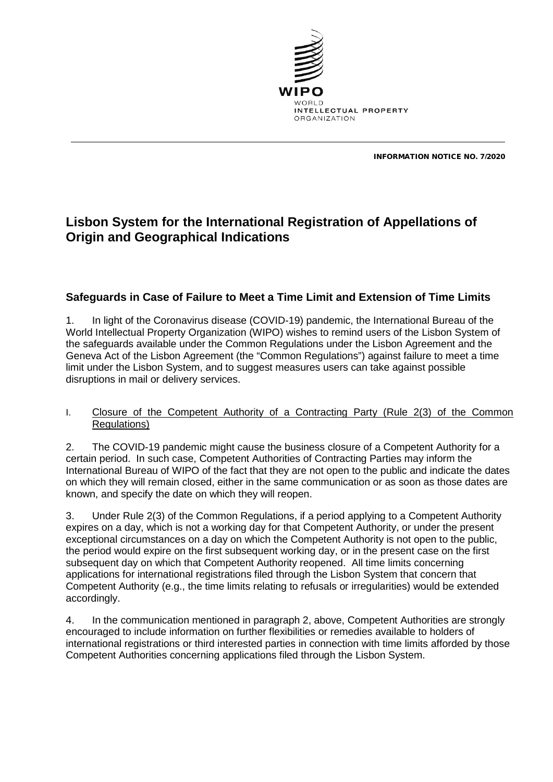

INFORMATION NOTICE NO. 7/2020

## **Lisbon System for the International Registration of Appellations of Origin and Geographical Indications**

## **Safeguards in Case of Failure to Meet a Time Limit and Extension of Time Limits**

1. In light of the Coronavirus disease (COVID-19) pandemic, the International Bureau of the World Intellectual Property Organization (WIPO) wishes to remind users of the Lisbon System of the safeguards available under the Common Regulations under the Lisbon Agreement and the Geneva Act of the Lisbon Agreement (the "Common Regulations") against failure to meet a time limit under the Lisbon System, and to suggest measures users can take against possible disruptions in mail or delivery services.

## I. Closure of the Competent Authority of a Contracting Party (Rule 2(3) of the Common Regulations)

2. The COVID-19 pandemic might cause the business closure of a Competent Authority for a certain period. In such case, Competent Authorities of Contracting Parties may inform the International Bureau of WIPO of the fact that they are not open to the public and indicate the dates on which they will remain closed, either in the same communication or as soon as those dates are known, and specify the date on which they will reopen.

3. Under Rule 2(3) of the Common Regulations, if a period applying to a Competent Authority expires on a day, which is not a working day for that Competent Authority, or under the present exceptional circumstances on a day on which the Competent Authority is not open to the public, the period would expire on the first subsequent working day, or in the present case on the first subsequent day on which that Competent Authority reopened. All time limits concerning applications for international registrations filed through the Lisbon System that concern that Competent Authority (e.g., the time limits relating to refusals or irregularities) would be extended accordingly.

4. In the communication mentioned in paragraph 2, above, Competent Authorities are strongly encouraged to include information on further flexibilities or remedies available to holders of international registrations or third interested parties in connection with time limits afforded by those Competent Authorities concerning applications filed through the Lisbon System.